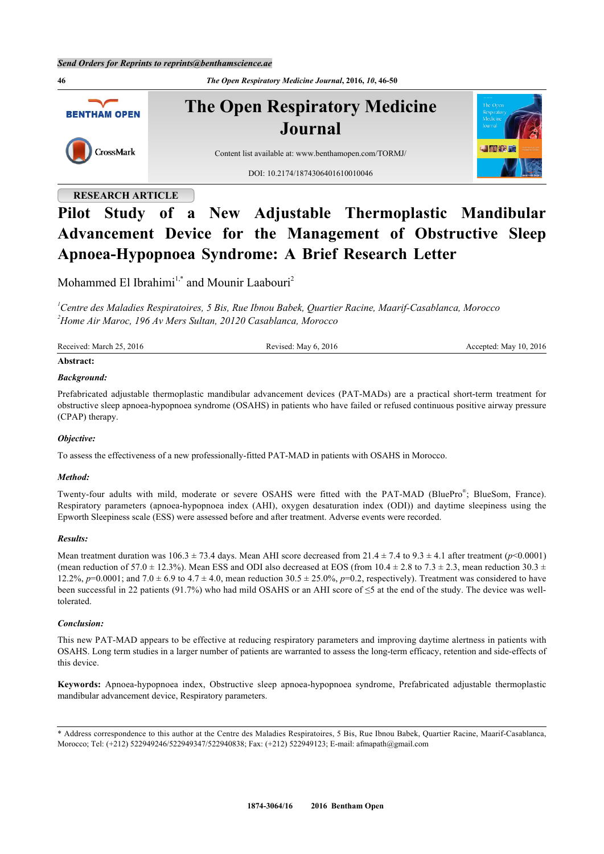**46** *The Open Respiratory Medicine Journal***, 2016,** *10***, 46-50 The Open Respiratory Medicine BENTHAM OPEN Journal** CrossMark Content list available at: [www.benthamopen.com/TORMJ/](http://www.benthamopen.com/TORMJ/) DOI: [10.2174/1874306401610010046](http://dx.doi.org/10.2174/1874306401610010046)

# **RESEARCH ARTICLE**

# **Pilot Study of a New Adjustable Thermoplastic Mandibular Advancement Device for the Management of Obstructive Sleep Apnoea-Hypopnoea Syndrome: A Brief Research Letter**

Mohammed El Ibrahimi<sup>[1,](#page-0-0)[\\*](#page-0-1)</sup> and Mounir Laabouri<sup>[2](#page-0-2)</sup>

<span id="page-0-2"></span><span id="page-0-0"></span>*<sup>1</sup>Centre des Maladies Respiratoires, 5 Bis, Rue Ibnou Babek, Quartier Racine, Maarif-Casablanca, Morocco <sup>2</sup>Home Air Maroc, 196 Av Mers Sultan, 20120 Casablanca, Morocco*

| Received: March 25, 2016 | Revised: May 6, 2016 | Accepted: May 10, 2016 |
|--------------------------|----------------------|------------------------|
| Abstract:                |                      |                        |

## *Background:*

Prefabricated adjustable thermoplastic mandibular advancement devices (PAT-MADs) are a practical short-term treatment for obstructive sleep apnoea-hypopnoea syndrome (OSAHS) in patients who have failed or refused continuous positive airway pressure (CPAP) therapy.

# *Objective:*

To assess the effectiveness of a new professionally-fitted PAT-MAD in patients with OSAHS in Morocco.

#### *Method:*

Twenty-four adults with mild, moderate or severe OSAHS were fitted with the PAT-MAD (BluePro® ; BlueSom, France). Respiratory parameters (apnoea-hypopnoea index (AHI), oxygen desaturation index (ODI)) and daytime sleepiness using the Epworth Sleepiness scale (ESS) were assessed before and after treatment. Adverse events were recorded.

#### *Results:*

Mean treatment duration was  $106.3 \pm 73.4$  days. Mean AHI score decreased from  $21.4 \pm 7.4$  to  $9.3 \pm 4.1$  after treatment ( $p$ <0.0001) (mean reduction of 57.0  $\pm$  12.3%). Mean ESS and ODI also decreased at EOS (from 10.4  $\pm$  2.8 to 7.3  $\pm$  2.3, mean reduction 30.3  $\pm$ 12.2%,  $p=0.0001$ ; and 7.0  $\pm$  6.9 to 4.7  $\pm$  4.0, mean reduction 30.5  $\pm$  25.0%,  $p=0.2$ , respectively). Treatment was considered to have been successful in 22 patients (91.7%) who had mild OSAHS or an AHI score of  $\leq$ 5 at the end of the study. The device was welltolerated.

#### *Conclusion:*

This new PAT-MAD appears to be effective at reducing respiratory parameters and improving daytime alertness in patients with OSAHS. Long term studies in a larger number of patients are warranted to assess the long-term efficacy, retention and side-effects of this device.

**Keywords:** Apnoea-hypopnoea index, Obstructive sleep apnoea-hypopnoea syndrome, Prefabricated adjustable thermoplastic mandibular advancement device, Respiratory parameters.

<span id="page-0-1"></span><sup>\*</sup> Address correspondence to this author at the Centre des Maladies Respiratoires, 5 Bis, Rue Ibnou Babek, Quartier Racine, Maarif-Casablanca, Morocco; Tel: (+212) 522949246/522949347/522940838; Fax: (+212) 522949123; E-mail: [afmapath@gmail.com](mailto:afmapath@gmail.com)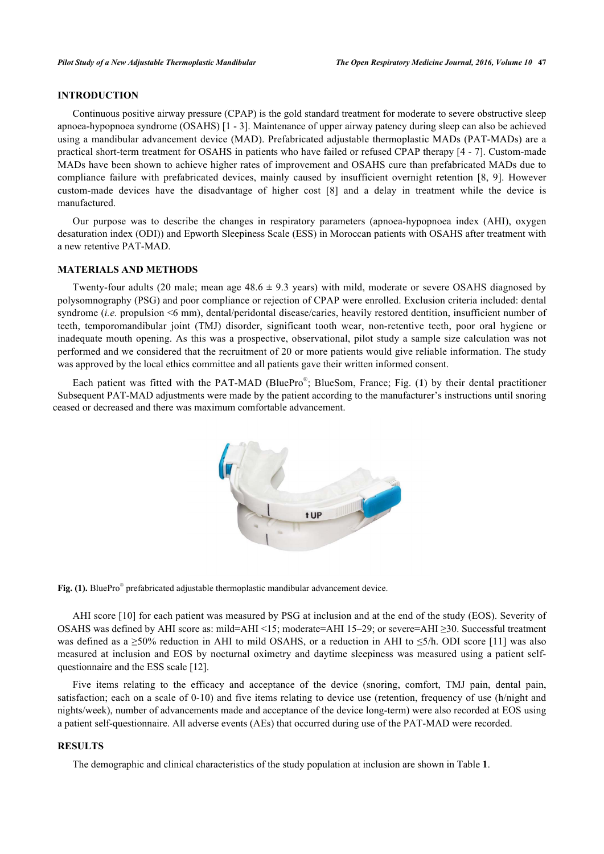# **INTRODUCTION**

Continuous positive airway pressure (CPAP) is the gold standard treatment for moderate to severe obstructive sleep apnoea-hypopnoea syndrome (OSAHS) [[1](#page-3-0) - [3](#page-3-1)]. Maintenance of upper airway patency during sleep can also be achieved using a mandibular advancement device (MAD). Prefabricated adjustable thermoplastic MADs (PAT-MADs) are a practical short-term treatment for OSAHS in patients who have failed or refused CPAP therapy [[4](#page-3-2) - [7\]](#page-3-3). Custom-made MADs have been shown to achieve higher rates of improvement and OSAHS cure than prefabricated MADs due to compliance failure with prefabricated devices, mainly caused by insufficient overnight retention [\[8](#page-3-4), [9](#page-4-0)]. However custom-made devices have the disadvantage of higher cost[[8](#page-3-4)] and a delay in treatment while the device is manufactured.

Our purpose was to describe the changes in respiratory parameters (apnoea-hypopnoea index (AHI), oxygen desaturation index (ODI)) and Epworth Sleepiness Scale (ESS) in Moroccan patients with OSAHS after treatment with a new retentive PAT-MAD.

#### **MATERIALS AND METHODS**

Twenty-four adults (20 male; mean age  $48.6 \pm 9.3$  years) with mild, moderate or severe OSAHS diagnosed by polysomnography (PSG) and poor compliance or rejection of CPAP were enrolled. Exclusion criteria included: dental syndrome (*i.e.* propulsion <6 mm), dental/peridontal disease/caries, heavily restored dentition, insufficient number of teeth, temporomandibular joint (TMJ) disorder, significant tooth wear, non-retentive teeth, poor oral hygiene or inadequate mouth opening. As this was a prospective, observational, pilot study a sample size calculation was not performed and we considered that the recruitment of 20 or more patients would give reliable information. The study was approved by the local ethics committee and all patients gave their written informed consent.

<span id="page-1-0"></span>Each patient was fitted with the PAT-MAD (BluePro® ; BlueSom, France; Fig. (**[1](#page-1-0)**) by their dental practitioner Subsequent PAT-MAD adjustments were made by the patient according to the manufacturer's instructions until snoring ceased or decreased and there was maximum comfortable advancement.



Fig. (1). BluePro<sup>®</sup> prefabricated adjustable thermoplastic mandibular advancement device.

AHI score [\[10\]](#page-4-1) for each patient was measured by PSG at inclusion and at the end of the study (EOS). Severity of OSAHS was defined by AHI score as: mild=AHI <15; moderate=AHI 15–29; or severe=AHI ≥30. Successful treatment was defined as a  $\geq 50\%$  reduction in AHI to mild OSAHS, or a reduction in AHI to  $\leq 5/h$ . ODI score [[11](#page-4-2)] was also measured at inclusion and EOS by nocturnal oximetry and daytime sleepiness was measured using a patient selfquestionnaire and the ESS scale [\[12](#page-4-3)].

Five items relating to the efficacy and acceptance of the device (snoring, comfort, TMJ pain, dental pain, satisfaction; each on a scale of 0-10) and five items relating to device use (retention, frequency of use (h/night and nights/week), number of advancements made and acceptance of the device long-term) were also recorded at EOS using a patient self-questionnaire. All adverse events (AEs) that occurred during use of the PAT-MAD were recorded.

#### <span id="page-1-1"></span>**RESULTS**

The demographic and clinical characteristics of the study population at inclusion are shown in Table **[1](#page-1-1)**.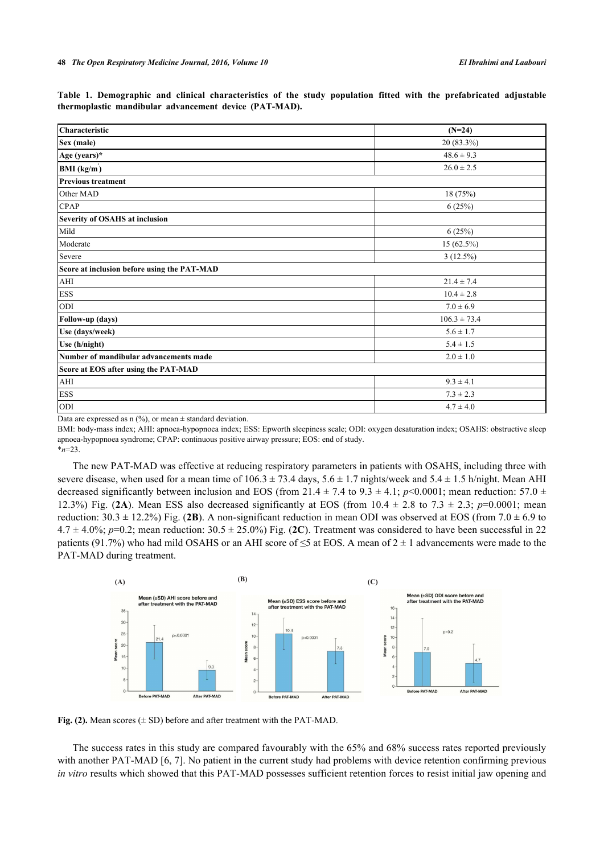| Table 1. Demographic and clinical characteristics of the study population fitted with the prefabricated adjustable |  |  |  |  |  |  |
|--------------------------------------------------------------------------------------------------------------------|--|--|--|--|--|--|
| thermoplastic mandibular advancement device (PAT-MAD).                                                             |  |  |  |  |  |  |

| Characteristic                              |                  |
|---------------------------------------------|------------------|
|                                             | $(N=24)$         |
| Sex (male)                                  | 20 (83.3%)       |
| Age (years)*                                | $48.6 \pm 9.3$   |
| BMI (kg/m)                                  | $26.0 \pm 2.5$   |
| <b>Previous treatment</b>                   |                  |
| Other MAD                                   | 18 (75%)         |
| <b>CPAP</b>                                 | 6(25%)           |
| Severity of OSAHS at inclusion              |                  |
| Mild                                        | 6(25%)           |
| Moderate                                    | 15 (62.5%)       |
| Severe                                      | 3(12.5%)         |
| Score at inclusion before using the PAT-MAD |                  |
| AHI                                         | $21.4 \pm 7.4$   |
| <b>ESS</b>                                  | $10.4 \pm 2.8$   |
| ODI                                         | $7.0 \pm 6.9$    |
| Follow-up (days)                            | $106.3 \pm 73.4$ |
| Use (days/week)                             | $5.6 \pm 1.7$    |
| Use (h/night)                               | $5.4 \pm 1.5$    |
| Number of mandibular advancements made      | $2.0 \pm 1.0$    |
| Score at EOS after using the PAT-MAD        |                  |
| AHI                                         | $9.3 \pm 4.1$    |
| <b>ESS</b>                                  | $7.3 \pm 2.3$    |
| ODI                                         | $4.7 \pm 4.0$    |

Data are expressed as  $n$  (%), or mean  $\pm$  standard deviation.

BMI: body-mass index; AHI: apnoea-hypopnoea index; ESS: Epworth sleepiness scale; ODI: oxygen desaturation index; OSAHS: obstructive sleep apnoea-hypopnoea syndrome; CPAP: continuous positive airway pressure; EOS: end of study.

\**n*=23.

The new PAT-MAD was effective at reducing respiratory parameters in patients with OSAHS, including three with severe disease, when used for a mean time of  $106.3 \pm 73.4$  days,  $5.6 \pm 1.7$  nights/week and  $5.4 \pm 1.5$  h/night. Mean AHI decreased significantly between inclusion and EOS (from 21.4  $\pm$  7.4 to 9.3  $\pm$  4.1; *p*<0.0001; mean reduction: 57.0  $\pm$ 12.3%) Fig. ([2A](#page-2-0)). Mean ESS also decreased significantly at EOS (from  $10.4 \pm 2.8$  to  $7.3 \pm 2.3$ ; *p*=0.0001; mean reduction:  $30.3 \pm 12.2\%$ ) Fig. ([2B](#page-2-0)). A non-significant reduction in mean ODI was observed at EOS (from 7.0  $\pm$  6.9 to  $4.7 \pm 4.0\%$ ;  $p=0.2$ ; mean reduction:  $30.5 \pm 25.0\%$  Fig. ([2C](#page-2-0)). Treatment was considered to have been successful in 22 patients (91.7%) who had mild OSAHS or an AHI score of  $\leq$ 5 at EOS. A mean of 2  $\pm$  1 advancements were made to the PAT-MAD during treatment.

<span id="page-2-0"></span>

**Fig. (2).** Mean scores  $(\pm SD)$  before and after treatment with the PAT-MAD.

The success rates in this study are compared favourably with the 65% and 68% success rates reported previously with another PAT-MAD [[6,](#page-3-5) [7\]](#page-3-3). No patient in the current study had problems with device retention confirming previous *in vitro* results which showed that this PAT-MAD possesses sufficient retention forces to resist initial jaw opening and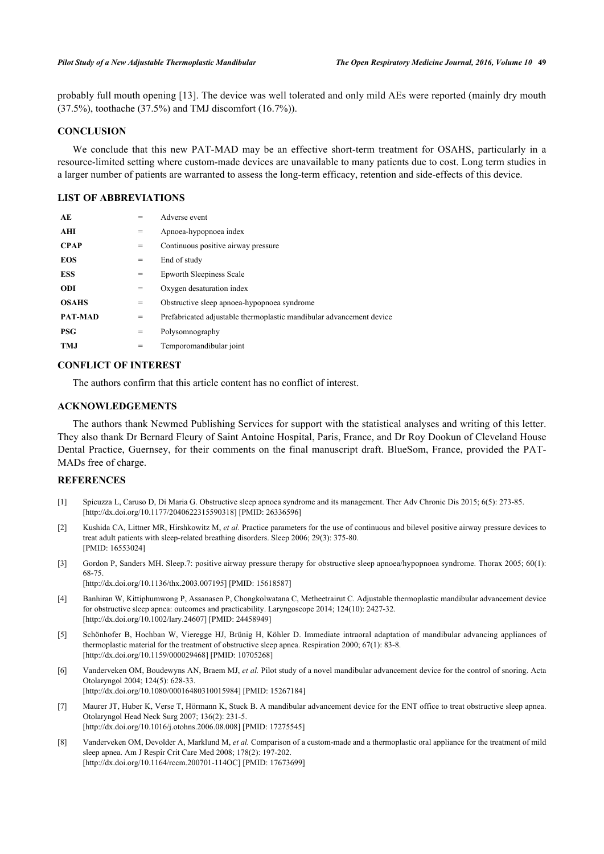probably full mouth opening [[13](#page-4-4)]. The device was well tolerated and only mild AEs were reported (mainly dry mouth (37.5%), toothache (37.5%) and TMJ discomfort (16.7%)).

## **CONCLUSION**

We conclude that this new PAT-MAD may be an effective short-term treatment for OSAHS, particularly in a resource-limited setting where custom-made devices are unavailable to many patients due to cost. Long term studies in a larger number of patients are warranted to assess the long-term efficacy, retention and side-effects of this device.

# **LIST OF ABBREVIATIONS**

| AE             | $=$ | Adverse event                                                        |
|----------------|-----|----------------------------------------------------------------------|
| AHI            | =   | Apnoea-hypopnoea index                                               |
| <b>CPAP</b>    | $=$ | Continuous positive airway pressure                                  |
| <b>EOS</b>     | $=$ | End of study                                                         |
| <b>ESS</b>     | $=$ | <b>Epworth Sleepiness Scale</b>                                      |
| <b>ODI</b>     | $=$ | Oxygen desaturation index                                            |
| <b>OSAHS</b>   | $=$ | Obstructive sleep apnoea-hypopnoea syndrome                          |
| <b>PAT-MAD</b> | $=$ | Prefabricated adjustable thermoplastic mandibular advancement device |
| <b>PSG</b>     | $=$ | Polysomnography                                                      |
| <b>TMJ</b>     | $=$ | Temporomandibular joint                                              |

# **CONFLICT OF INTEREST**

The authors confirm that this article content has no conflict of interest.

## **ACKNOWLEDGEMENTS**

The authors thank Newmed Publishing Services for support with the statistical analyses and writing of this letter. They also thank Dr Bernard Fleury of Saint Antoine Hospital, Paris, France, and Dr Roy Dookun of Cleveland House Dental Practice, Guernsey, for their comments on the final manuscript draft. BlueSom, France, provided the PAT-MADs free of charge.

#### **REFERENCES**

- <span id="page-3-0"></span>[1] Spicuzza L, Caruso D, Di Maria G. Obstructive sleep apnoea syndrome and its management. Ther Adv Chronic Dis 2015; 6(5): 273-85. [\[http://dx.doi.org/10.1177/2040622315590318\]](http://dx.doi.org/10.1177/2040622315590318) [PMID: [26336596](http://www.ncbi.nlm.nih.gov/pubmed/26336596)]
- [2] Kushida CA, Littner MR, Hirshkowitz M, *et al.* Practice parameters for the use of continuous and bilevel positive airway pressure devices to treat adult patients with sleep-related breathing disorders. Sleep 2006; 29(3): 375-80. [PMID: [16553024\]](http://www.ncbi.nlm.nih.gov/pubmed/16553024)
- <span id="page-3-1"></span>[3] Gordon P, Sanders MH. Sleep.7: positive airway pressure therapy for obstructive sleep apnoea/hypopnoea syndrome. Thorax 2005; 60(1): 68-75. [\[http://dx.doi.org/10.1136/thx.2003.007195](http://dx.doi.org/10.1136/thx.2003.007195)] [PMID: [15618587\]](http://www.ncbi.nlm.nih.gov/pubmed/15618587)
- <span id="page-3-2"></span>[4] Banhiran W, Kittiphumwong P, Assanasen P, Chongkolwatana C, Metheetrairut C. Adjustable thermoplastic mandibular advancement device for obstructive sleep apnea: outcomes and practicability. Laryngoscope 2014; 124(10): 2427-32. [\[http://dx.doi.org/10.1002/lary.24607](http://dx.doi.org/10.1002/lary.24607)] [PMID: [24458949\]](http://www.ncbi.nlm.nih.gov/pubmed/24458949)
- [5] Schönhofer B, Hochban W, Vieregge HJ, Brünig H, Köhler D. Immediate intraoral adaptation of mandibular advancing appliances of thermoplastic material for the treatment of obstructive sleep apnea. Respiration 2000; 67(1): 83-8. [\[http://dx.doi.org/10.1159/000029468\]](http://dx.doi.org/10.1159/000029468) [PMID: [10705268](http://www.ncbi.nlm.nih.gov/pubmed/10705268)]
- <span id="page-3-5"></span>[6] Vanderveken OM, Boudewyns AN, Braem MJ, *et al.* Pilot study of a novel mandibular advancement device for the control of snoring. Acta Otolaryngol 2004; 124(5): 628-33. [\[http://dx.doi.org/10.1080/00016480310015984\]](http://dx.doi.org/10.1080/00016480310015984) [PMID: [15267184](http://www.ncbi.nlm.nih.gov/pubmed/15267184)]
- <span id="page-3-3"></span>[7] Maurer JT, Huber K, Verse T, Hörmann K, Stuck B. A mandibular advancement device for the ENT office to treat obstructive sleep apnea. Otolaryngol Head Neck Surg 2007; 136(2): 231-5. [\[http://dx.doi.org/10.1016/j.otohns.2006.08.008](http://dx.doi.org/10.1016/j.otohns.2006.08.008)] [PMID: [17275545\]](http://www.ncbi.nlm.nih.gov/pubmed/17275545)
- <span id="page-3-4"></span>[8] Vanderveken OM, Devolder A, Marklund M, *et al.* Comparison of a custom-made and a thermoplastic oral appliance for the treatment of mild sleep apnea. Am J Respir Crit Care Med 2008; 178(2): 197-202. [\[http://dx.doi.org/10.1164/rccm.200701-114OC\]](http://dx.doi.org/10.1164/rccm.200701-114OC) [PMID: [17673699](http://www.ncbi.nlm.nih.gov/pubmed/17673699)]